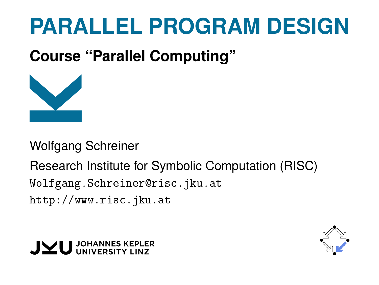# **PARALLEL PROGRAM DESIGN**

**Course "Parallel Computing"**



Wolfgang Schreiner

Research Institute for Symbolic Computation (RISC) [Wolfgang.Schreiner@risc.jku.at](mailto:Wolfgang.Schreiner@risc.jku.at) <http://www.risc.jku.at>



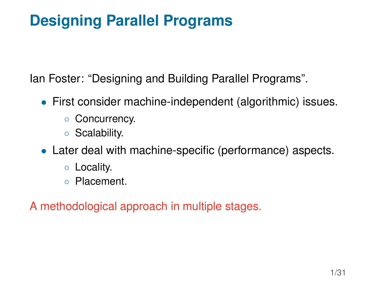# **Designing Parallel Programs**

Ian Foster: "Designing and Building Parallel Programs".

- First consider machine-independent (algorithmic) issues.
	- Concurrency.
	- Scalability.
- Later deal with machine-specific (performance) aspects.
	- Locality.
	- Placement.

A methodological approach in multiple stages.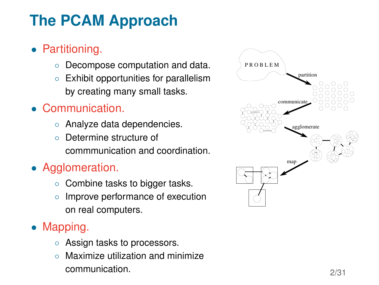# **The PCAM Approach**

- Partitioning.
	- Decompose computation and data.
	- Exhibit opportunities for parallelism by creating many small tasks.
- Communication.
	- Analyze data dependencies.
	- Determine structure of commmunication and coordination.
- Agglomeration.
	- Combine tasks to bigger tasks.
	- Improve performance of execution on real computers.
- Mapping.
	- Assign tasks to processors.
	- Maximize utilization and minimize communication.

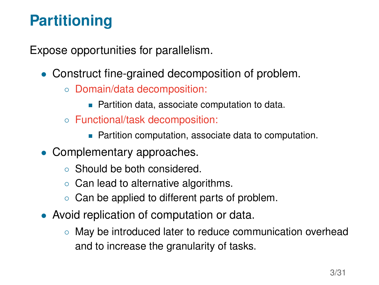# **Partitioning**

Expose opportunities for parallelism.

- Construct fine-grained decomposition of problem.
	- Domain/data decomposition:
		- **Partition data, associate computation to data.**
	- Functional/task decomposition:
		- Partition computation, associate data to computation.
- Complementary approaches.
	- Should be both considered.
	- Can lead to alternative algorithms.
	- Can be applied to different parts of problem.
- Avoid replication of computation or data.
	- May be introduced later to reduce communication overhead and to increase the granularity of tasks.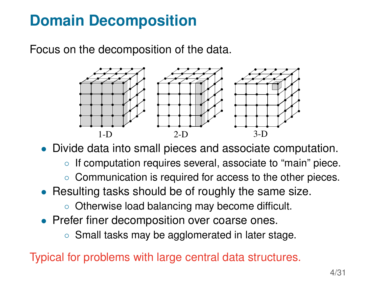## **Domain Decomposition**

Focus on the decomposition of the data.



• Divide data into small pieces and associate computation.

- If computation requires several, associate to "main" piece.
- Communication is required for access to the other pieces.
- Resulting tasks should be of roughly the same size.
	- Otherwise load balancing may become difficult.
- Prefer finer decomposition over coarse ones.
	- Small tasks may be agglomerated in later stage.

Typical for problems with large central data structures.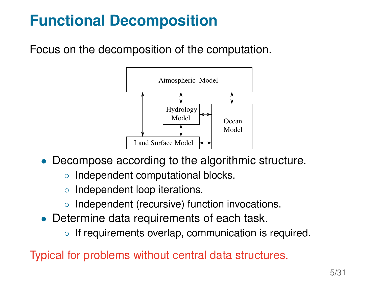# **Functional Decomposition**

Focus on the decomposition of the computation.



- Decompose according to the algorithmic structure.
	- Independent computational blocks.
	- Independent loop iterations.
	- Independent (recursive) function invocations.
- Determine data requirements of each task.
	- If requirements overlap, communication is required.

Typical for problems without central data structures.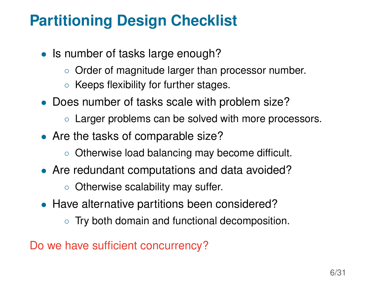## **Partitioning Design Checklist**

- Is number of tasks large enough?
	- Order of magnitude larger than processor number.
	- Keeps flexibility for further stages.
- Does number of tasks scale with problem size?
	- Larger problems can be solved with more processors.
- Are the tasks of comparable size?
	- Otherwise load balancing may become difficult.
- Are redundant computations and data avoided?
	- Otherwise scalability may suffer.
- Have alternative partitions been considered?
	- Try both domain and functional decomposition.

Do we have sufficient concurrency?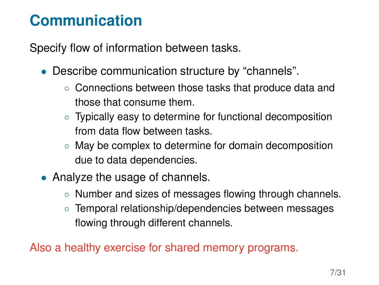#### **Communication**

Specify flow of information between tasks.

- Describe communication structure by "channels".
	- Connections between those tasks that produce data and those that consume them.
	- Typically easy to determine for functional decomposition from data flow between tasks.
	- May be complex to determine for domain decomposition due to data dependencies.
- Analyze the usage of channels.
	- Number and sizes of messages flowing through channels.
	- Temporal relationship/dependencies between messages flowing through different channels.

Also a healthy exercise for shared memory programs.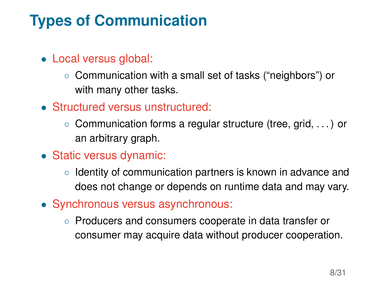# **Types of Communication**

- Local versus global:
	- Communication with a small set of tasks ("neighbors") or with many other tasks.
- Structured versus unstructured:
	- Communication forms a regular structure (tree, grid, . . . ) or an arbitrary graph.
- Static versus dynamic:
	- Identity of communication partners is known in advance and does not change or depends on runtime data and may vary.
- Synchronous versus asynchronous:
	- Producers and consumers cooperate in data transfer or consumer may acquire data without producer cooperation.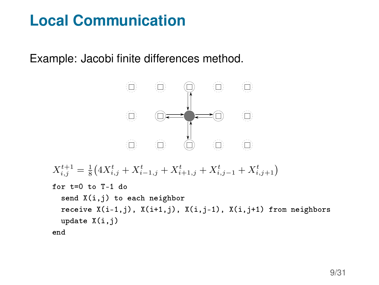## **Local Communication**

Example: Jacobi finite differences method.

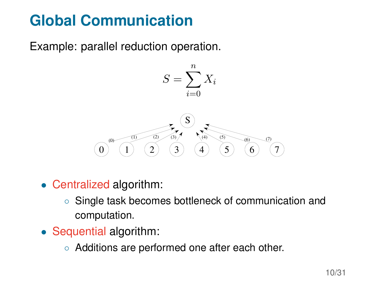# **Global Communication**

Example: parallel reduction operation.



- Centralized algorithm:
	- Single task becomes bottleneck of communication and computation.
- Sequential algorithm:
	- Additions are performed one after each other.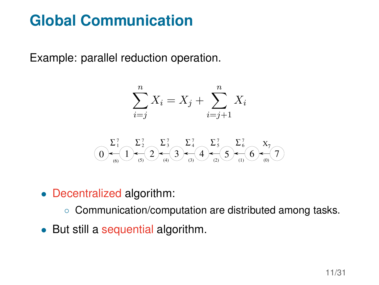## **Global Communication**

Example: parallel reduction operation.

$$
\sum_{i=j}^{n} X_i = X_j + \sum_{i=j+1}^{n} X_i
$$

$$
\bigodot \limits_{(6)}\hspace{-1mm} \overset{\sum_{1}^{7}}{ \hspace{-.1cm} \sum_{(5)} \hspace{-.1cm} \sum_{(5)} \hspace{-.1cm} \sum_{(4)}^{7} \hspace{-.1cm} \sum_{(5)} \hspace{-.1cm} \sum_{(3)} \hspace{-.1cm} \sum_{(3)} \hspace{-.1cm} \sum_{(3)} \hspace{-.1cm} \sum_{(3)} \hspace{-.1cm} \sum_{(3)} \hspace{-.1cm} \sum_{(3)} \hspace{-.1cm} \sum_{(3)} \hspace{-.1cm} \sum_{(3)} \hspace{-.1cm} \sum_{(3)} \hspace{-.1cm} \sum_{(3)} \hspace{-.1cm} \sum_{(3)} \hspace{-.1cm} \sum_{(3)} \hspace{-.1cm} \sum_{(3)} \hspace{-.1cm} \sum_{(3)} \hspace{-.1cm} \sum_{(3)} \hspace{-.1cm} \sum_{(3)} \hspace{-.1cm} \sum_{(3)} \hspace{-.1cm} \sum_{(3)} \hspace{-.1cm} \sum_{(3)} \hspace{-.1cm} \sum_{(3)} \hspace{-.1cm} \sum_{(3)} \hspace{-.1cm} \sum_{(3)} \hspace{-.1cm} \sum_{(3)} \hspace{-.1cm} \sum_{(3)} \hspace{-.1cm} \sum_{(3)} \hspace{-.1cm} \sum_{(3)} \hspace{-.1cm} \sum_{(3)} \hspace{-.1cm} \sum_{(3)} \hspace{-.1cm} \sum_{(3)} \hspace{-.1cm} \sum_{(3)} \hspace{-.1cm} \sum_{(3)} \hspace{-.1cm} \sum_{(3)} \hspace{-.1cm} \sum_{(3)} \hspace{-.1cm} \sum_{(3)} \hspace{-.1cm} \sum_{(3)} \hspace{-.1cm} \sum_{(3)} \hspace{-.1cm} \sum_{(3)} \hspace{-.1cm} \sum_{(3)} \hspace{-.1cm} \sum_{(3)} \hspace{-.1cm} \sum_{(3)} \hspace{-.1cm} \sum_{(3)} \hspace{-.1cm} \sum_{(3)} \hspace{-.1cm} \sum_{(3)} \hspace{-.1cm} \sum_{(3)} \hspace{-.1cm} \sum_{(3)} \hspace{-.1cm} \sum_{(3)} \hspace{-.1cm} \sum_{(3)} \hspace{-.1cm} \sum_{(3)}
$$

- Decentralized algorithm:
	- Communication/computation are distributed among tasks.
- But still a sequential algorithm.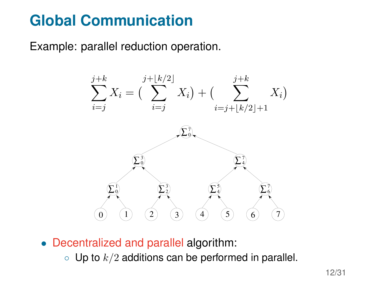## **Global Communication**

Example: parallel reduction operation.



• Decentralized and parallel algorithm:

 $\circ$  Up to  $k/2$  additions can be performed in parallel.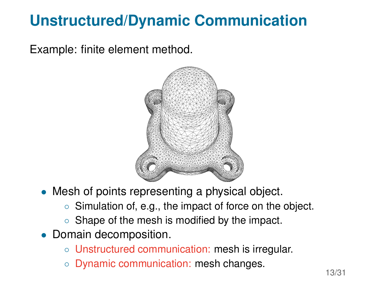# **Unstructured/Dynamic Communication**

Example: finite element method.



- Mesh of points representing a physical object.
	- Simulation of, e.g., the impact of force on the object.
	- Shape of the mesh is modified by the impact.
- Domain decomposition.
	- Unstructured communication: mesh is irregular.
	- Dynamic communication: mesh changes.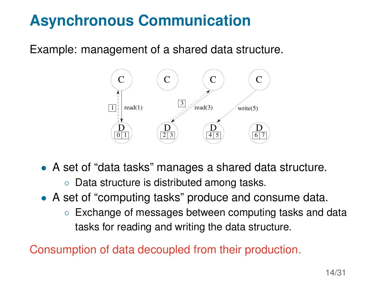# **Asynchronous Communication**

Example: management of a shared data structure.



- A set of "data tasks" manages a shared data structure.
	- Data structure is distributed among tasks.
- A set of "computing tasks" produce and consume data.
	- Exchange of messages between computing tasks and data tasks for reading and writing the data structure.

Consumption of data decoupled from their production.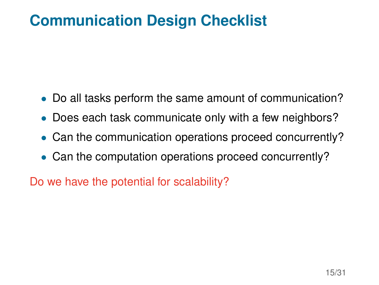#### **Communication Design Checklist**

- Do all tasks perform the same amount of communication?
- Does each task communicate only with a few neighbors?
- Can the communication operations proceed concurrently?
- Can the computation operations proceed concurrently?

Do we have the potential for scalability?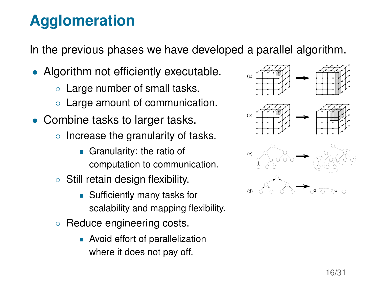# **Agglomeration**

In the previous phases we have developed a parallel algorithm.

- Algorithm not efficiently executable.
	- Large number of small tasks.
	- Large amount of communication.
- Combine tasks to larger tasks.
	- Increase the granularity of tasks.
		- Granularity: the ratio of computation to communication.
	- Still retain design flexibility.
		- Sufficiently many tasks for scalability and mapping flexibility.
	- Reduce engineering costs.
		- **Avoid effort of parallelization** where it does not pay off.





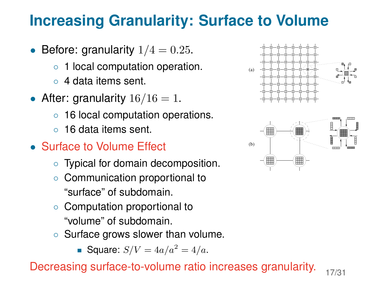#### **Increasing Granularity: Surface to Volume**

- Before: granularity  $1/4 = 0.25$ .
	- 1 local computation operation.
	- 4 data items sent.
- After: granularity  $16/16 = 1$ .
	- 16 local computation operations.
	- 16 data items sent.
- Surface to Volume Effect
	- Typical for domain decomposition.
	- Communication proportional to "surface" of subdomain.
	- Computation proportional to "volume" of subdomain.
	- Surface grows slower than volume.
		- Square:  $S/V = 4a/a^2 = 4/a$ .





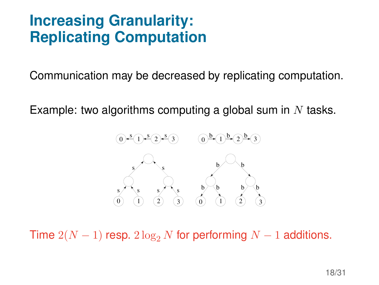#### **Increasing Granularity: Replicating Computation**

Communication may be decreased by replicating computation.

Example: two algorithms computing a global sum in  $N$  tasks.



Time  $2(N-1)$  resp.  $2 \log_2 N$  for performing  $N-1$  additions.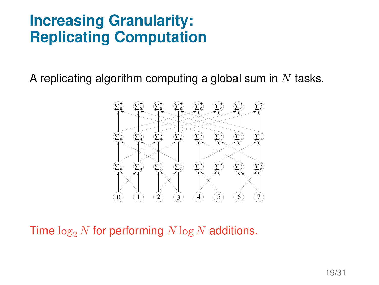#### **Increasing Granularity: Replicating Computation**

A replicating algorithm computing a global sum in  $N$  tasks.



Time  $\log_2 N$  for performing  $N \log N$  additions.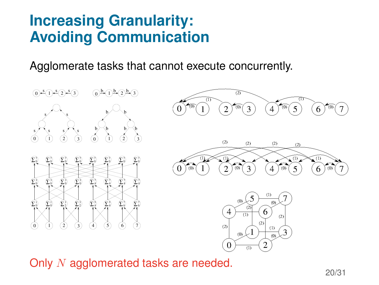#### **Increasing Granularity: Avoiding Communication**

Agglomerate tasks that cannot execute concurrently.



Only N agglomerated tasks are needed.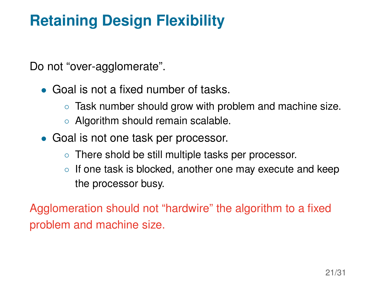# **Retaining Design Flexibility**

Do not "over-agglomerate".

- Goal is not a fixed number of tasks.
	- Task number should grow with problem and machine size.
	- Algorithm should remain scalable.
- Goal is not one task per processor.
	- There shold be still multiple tasks per processor.
	- If one task is blocked, another one may execute and keep the processor busy.

Agglomeration should not "hardwire" the algorithm to a fixed problem and machine size.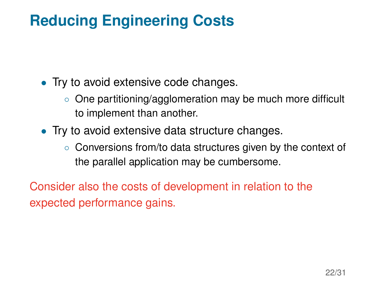# **Reducing Engineering Costs**

- Try to avoid extensive code changes.
	- One partitioning/agglomeration may be much more difficult to implement than another.
- Try to avoid extensive data structure changes.
	- Conversions from/to data structures given by the context of the parallel application may be cumbersome.

Consider also the costs of development in relation to the expected performance gains.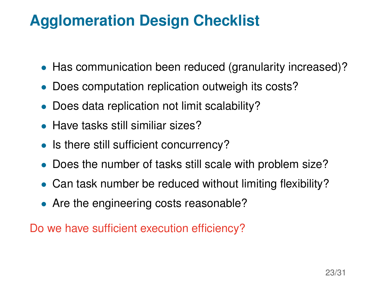# **Agglomeration Design Checklist**

- Has communication been reduced (granularity increased)?
- Does computation replication outweigh its costs?
- Does data replication not limit scalability?
- Have tasks still similiar sizes?
- Is there still sufficient concurrency?
- Does the number of tasks still scale with problem size?
- Can task number be reduced without limiting flexibility?
- Are the engineering costs reasonable?

Do we have sufficient execution efficiency?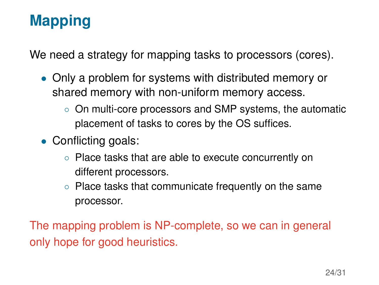# **Mapping**

We need a strategy for mapping tasks to processors (cores).

- Only a problem for systems with distributed memory or shared memory with non-uniform memory access.
	- On multi-core processors and SMP systems, the automatic placement of tasks to cores by the OS suffices.
- Conflicting goals:
	- Place tasks that are able to execute concurrently on different processors.
	- Place tasks that communicate frequently on the same processor.

The mapping problem is NP-complete, so we can in general only hope for good heuristics.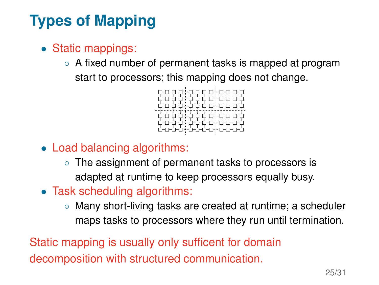# **Types of Mapping**

- Static mappings:
	- A fixed number of permanent tasks is mapped at program start to processors; this mapping does not change.



- Load balancing algorithms:
	- The assignment of permanent tasks to processors is adapted at runtime to keep processors equally busy.
- Task scheduling algorithms:
	- Many short-living tasks are created at runtime; a scheduler maps tasks to processors where they run until termination.

Static mapping is usually only sufficent for domain decomposition with structured communication.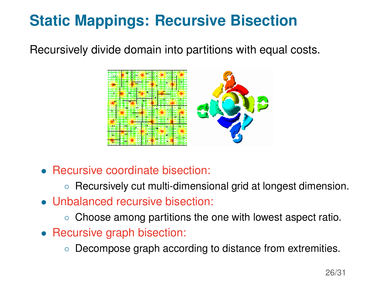# **Static Mappings: Recursive Bisection**

Recursively divide domain into partitions with equal costs.



- Recursive coordinate bisection:
	- Recursively cut multi-dimensional grid at longest dimension.
- Unbalanced recursive bisection:
	- Choose among partitions the one with lowest aspect ratio.
- Recursive graph bisection:
	- Decompose graph according to distance from extremities.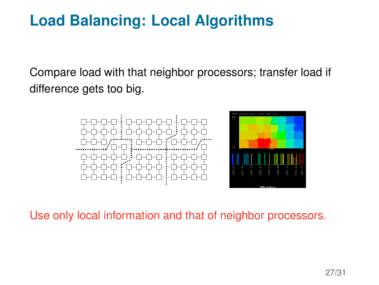## **Load Balancing: Local Algorithms**

Compare load with that neighbor processors; transfer load if difference gets too big.



Use only local information and that of neighbor processors.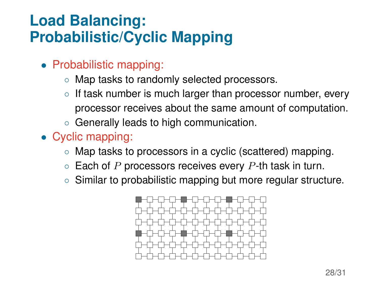## **Load Balancing: Probabilistic/Cyclic Mapping**

- Probabilistic mapping:
	- Map tasks to randomly selected processors.
	- If task number is much larger than processor number, every processor receives about the same amount of computation.
	- Generally leads to high communication.
- Cyclic mapping:
	- Map tasks to processors in a cyclic (scattered) mapping.
	- $\circ$  Each of P processors receives every P-th task in turn.
	- Similar to probabilistic mapping but more regular structure.

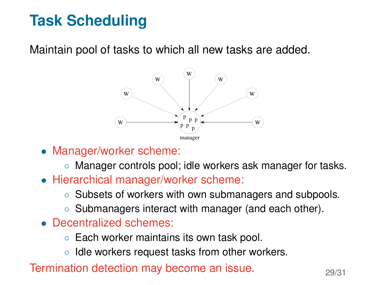# **Task Scheduling**

Maintain pool of tasks to which all new tasks are added.



- Manager/worker scheme:
	- Manager controls pool; idle workers ask manager for tasks.
- Hierarchical manager/worker scheme:
	- Subsets of workers with own submanagers and subpools.
	- Submanagers interact with manager (and each other).
- Decentralized schemes:
	- Each worker maintains its own task pool.
	- Idle workers request tasks from other workers.

Termination detection may become an issue.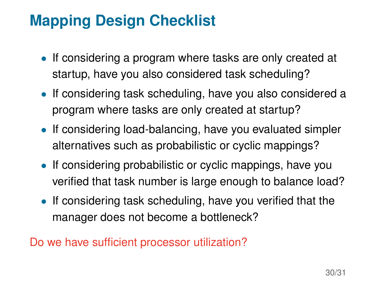# **Mapping Design Checklist**

- If considering a program where tasks are only created at startup, have you also considered task scheduling?
- If considering task scheduling, have you also considered a program where tasks are only created at startup?
- If considering load-balancing, have you evaluated simpler alternatives such as probabilistic or cyclic mappings?
- If considering probabilistic or cyclic mappings, have you verified that task number is large enough to balance load?
- If considering task scheduling, have you verified that the manager does not become a bottleneck?

Do we have sufficient processor utilization?